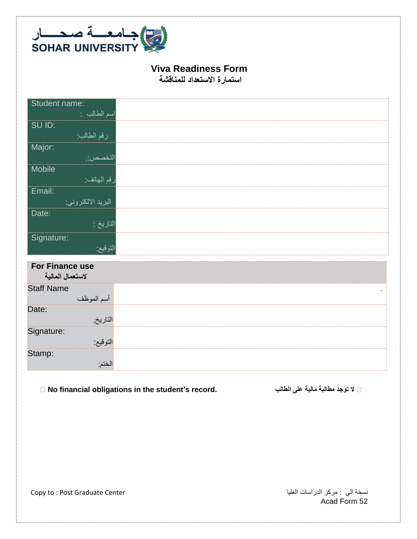

## **Viva Readiness Form**

**استمارة االستعداد للمناقشة** 

| Student name:<br>اسم الطالب :       |  |
|-------------------------------------|--|
| SU ID:<br>رقم الطالب:               |  |
| Major:<br>التخصص:                   |  |
| Mobile<br>رقم المهاتف:              |  |
| Email:<br>البريد الالكتروني:        |  |
| Date:<br>التاريخ :                  |  |
| Signature:<br>التوقيع:              |  |
| For Finance use<br>لاستعمال المالية |  |
| <b>Staff Name</b><br>أسم الموظف     |  |
| Date:<br>التاريخ                    |  |
| Signature:<br>التوقيع:              |  |
| Stamp:<br>الختم:                    |  |

 $□$  No financial obligations in the student's record. المطالبة مالية على الطالب على الله الله على مالية على الله ال

نسخة الى : مركز الدراسات العليا Center Graduate Post : to Copy

Acad Form 52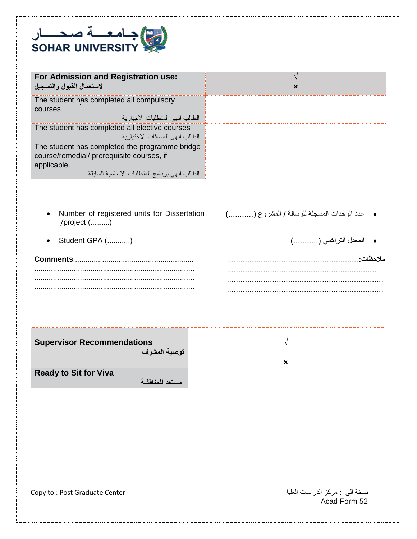

| For Admission and Registration use:<br>لاستعمال القبول والتسجيل                                                                                             | × |
|-------------------------------------------------------------------------------------------------------------------------------------------------------------|---|
| The student has completed all compulsory<br>courses<br>الطالب انهي المتطلبات الاجبار ية                                                                     |   |
| The student has completed all elective courses<br>الطالب انهي المساقات الاختيار ية                                                                          |   |
| The student has completed the programme bridge<br>course/remedial/ prerequisite courses, if<br>applicable.<br>الطالب انهى برنامج المنطلبات الاساسية السابقة |   |

- Number of registered units for Dissertation /project (..........)
- Student GPA (...........) )...........( التراكمي المعدل

**Comments**:......................................................... ............................................................................. ............................................................................. .............................................................................

عدد الوحدات المسجلة للرسالة / المشروع )...........(

**مالحظات**..........................................................**:** .................................................................. ..................................................................... .....................................................................

| <b>Supervisor Recommendations</b><br>توصية المشرف |  |
|---------------------------------------------------|--|
| <b>Ready to Sit for Viva</b><br>مستعد للمناقشة    |  |

نسخة الى : مركز الدراسات العليا Center Graduate Post : to Copy

Acad Form 52